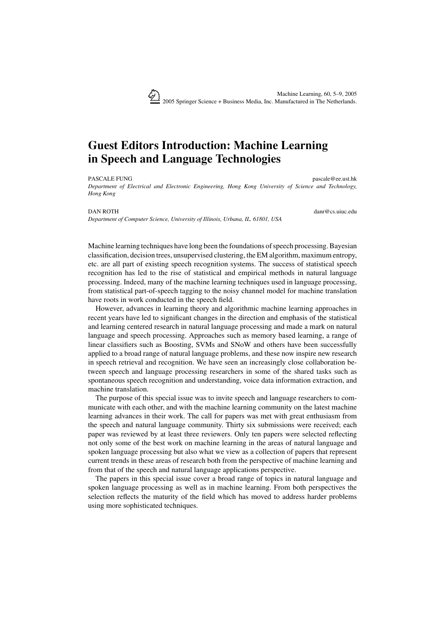# **Guest Editors Introduction: Machine Learning in Speech and Language Technologies**

PASCALE FUNG pascale @ee.ust.hk *Department of Electrical and Electronic Engineering, Hong Kong University of Science and Technology, Hong Kong*

*Department of Computer Science, University of Illinois, Urbana, IL. 61801, USA*

DAN ROTH danr@cs.uiuc.edu

Machine learning techniques have long been the foundations of speech processing. Bayesian classification, decision trees, unsupervised clustering, the EM algorithm, maximum entropy, etc. are all part of existing speech recognition systems. The success of statistical speech recognition has led to the rise of statistical and empirical methods in natural language processing. Indeed, many of the machine learning techniques used in language processing, from statistical part-of-speech tagging to the noisy channel model for machine translation have roots in work conducted in the speech field.

However, advances in learning theory and algorithmic machine learning approaches in recent years have led to significant changes in the direction and emphasis of the statistical and learning centered research in natural language processing and made a mark on natural language and speech processing. Approaches such as memory based learning, a range of linear classifiers such as Boosting, SVMs and SNoW and others have been successfully applied to a broad range of natural language problems, and these now inspire new research in speech retrieval and recognition. We have seen an increasingly close collaboration between speech and language processing researchers in some of the shared tasks such as spontaneous speech recognition and understanding, voice data information extraction, and machine translation.

The purpose of this special issue was to invite speech and language researchers to communicate with each other, and with the machine learning community on the latest machine learning advances in their work. The call for papers was met with great enthusiasm from the speech and natural language community. Thirty six submissions were received; each paper was reviewed by at least three reviewers. Only ten papers were selected reflecting not only some of the best work on machine learning in the areas of natural language and spoken language processing but also what we view as a collection of papers that represent current trends in these areas of research both from the perspective of machine learning and from that of the speech and natural language applications perspective.

The papers in this special issue cover a broad range of topics in natural language and spoken language processing as well as in machine learning. From both perspectives the selection reflects the maturity of the field which has moved to address harder problems using more sophisticated techniques.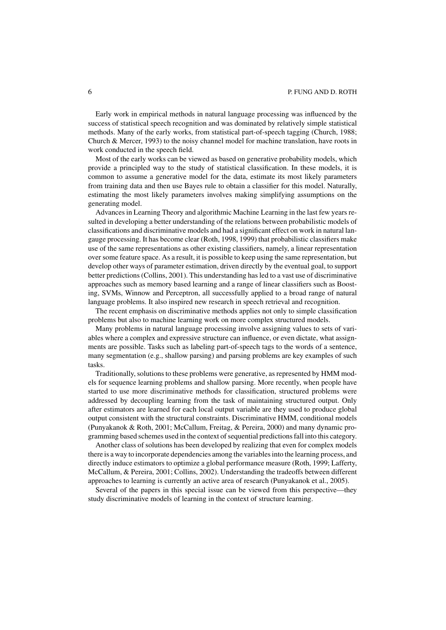#### 6 P. FUNG AND D. ROTH

Early work in empirical methods in natural language processing was influenced by the success of statistical speech recognition and was dominated by relatively simple statistical methods. Many of the early works, from statistical part-of-speech tagging (Church, 1988; Church & Mercer, 1993) to the noisy channel model for machine translation, have roots in work conducted in the speech field.

Most of the early works can be viewed as based on generative probability models, which provide a principled way to the study of statistical classification. In these models, it is common to assume a generative model for the data, estimate its most likely parameters from training data and then use Bayes rule to obtain a classifier for this model. Naturally, estimating the most likely parameters involves making simplifying assumptions on the generating model.

Advances in Learning Theory and algorithmic Machine Learning in the last few years resulted in developing a better understanding of the relations between probabilistic models of classifications and discriminative models and had a significant effect on work in natural langauge processing. It has become clear (Roth, 1998, 1999) that probabilistic classifiers make use of the same representations as other existing classifiers, namely, a linear representation over some feature space. As a result, it is possible to keep using the same representation, but develop other ways of parameter estimation, driven directly by the eventual goal, to support better predictions (Collins, 2001). This understanding has led to a vast use of discriminative approaches such as memory based learning and a range of linear classifiers such as Boosting, SVMs, Winnow and Perceptron, all successfully applied to a broad range of natural language problems. It also inspired new research in speech retrieval and recognition.

The recent emphasis on discriminative methods applies not only to simple classification problems but also to machine learning work on more complex structured models.

Many problems in natural language processing involve assigning values to sets of variables where a complex and expressive structure can influence, or even dictate, what assignments are possible. Tasks such as labeling part-of-speech tags to the words of a sentence, many segmentation (e.g., shallow parsing) and parsing problems are key examples of such tasks.

Traditionally, solutions to these problems were generative, as represented by HMM models for sequence learning problems and shallow parsing. More recently, when people have started to use more discriminative methods for classification, structured problems were addressed by decoupling learning from the task of maintaining structured output. Only after estimators are learned for each local output variable are they used to produce global output consistent with the structural constraints. Discriminative HMM, conditional models (Punyakanok & Roth, 2001; McCallum, Freitag, & Pereira, 2000) and many dynamic programming based schemes used in the context of sequential predictions fall into this category.

Another class of solutions has been developed by realizing that even for complex models there is a way to incorporate dependencies among the variables into the learning process, and directly induce estimators to optimize a global performance measure (Roth, 1999; Lafferty, McCallum, & Pereira, 2001; Collins, 2002). Understanding the tradeoffs between different approaches to learning is currently an active area of research (Punyakanok et al., 2005).

Several of the papers in this special issue can be viewed from this perspective—they study discriminative models of learning in the context of structure learning.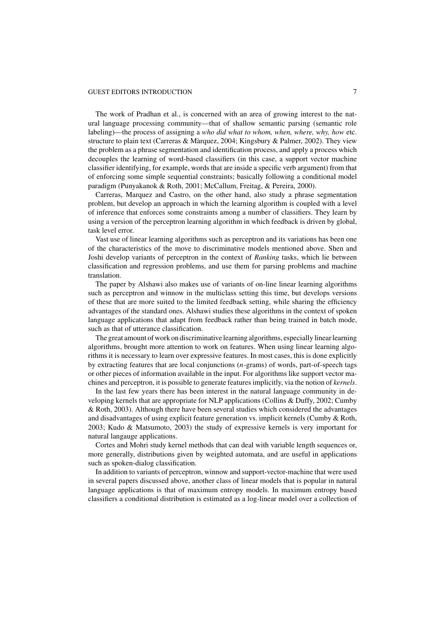# GUEST EDITORS INTRODUCTION 7

The work of Pradhan et al., is concerned with an area of growing interest to the natural language processing community—that of shallow semantic parsing (semantic role labeling)—the process of assigning a *who did what to whom, when, where, why, how* etc. structure to plain text (Carreras & Màrquez, 2004; Kingsbury & Palmer, 2002). They view the problem as a phrase segmentation and identification process, and apply a process which decouples the learning of word-based classifiers (in this case, a support vector machine classifier identifying, for example, words that are inside a specific verb argument) from that of enforcing some simple sequential constraints; basically following a conditional model paradigm (Punyakanok & Roth, 2001; McCallum, Freitag, & Pereira, 2000).

Carreras, Marquez and Castro, on the other hand, also study a phrase segmentation problem, but develop an approach in which the learning algorithm is coupled with a level of inference that enforces some constraints among a number of classifiers. They learn by using a version of the perceptron learning algorithm in which feedback is driven by global, task level error.

Vast use of linear learning algorithms such as perceptron and its variations has been one of the characteristics of the move to discriminative models mentioned above. Shen and Joshi develop variants of perceptron in the context of *Ranking* tasks, which lie between classification and regression problems, and use them for parsing problems and machine translation.

The paper by Alshawi also makes use of variants of on-line linear learning algorithms such as perceptron and winnow in the multiclass setting this time, but develops versions of these that are more suited to the limited feedback setting, while sharing the efficiency advantages of the standard ones. Alshawi studies these algorithms in the context of spoken language applications that adapt from feedback rather than being trained in batch mode, such as that of utterance classification.

The great amount of work on discriminative learning algorithms, especially linear learning algorithms, brought more attention to work on features. When using linear learning algorithms it is necessary to learn over expressive features. In most cases, this is done explicitly by extracting features that are local conjunctions (*n*-grams) of words, part-of-speech tags or other pieces of information available in the input. For algorithms like support vector machines and perceptron, it is possible to generate features implicitly, via the notion of *kernels*.

In the last few years there has been interest in the natural language community in developing kernels that are appropriate for NLP applications (Collins & Duffy, 2002; Cumby & Roth, 2003). Although there have been several studies which considered the advantages and disadvantages of using explicit feature generation vs. implicit kernels (Cumby & Roth, 2003; Kudo & Matsumoto, 2003) the study of expressive kernels is very important for natural langauge applications.

Cortes and Mohri study kernel methods that can deal with variable length sequences or, more generally, distributions given by weighted automata, and are useful in applications such as spoken-dialog classification.

In addition to variants of perceptron, winnow and support-vector-machine that were used in several papers discussed above, another class of linear models that is popular in natural language applications is that of maximum entropy models. In maximum entropy based classifiers a conditional distribution is estimated as a log-linear model over a collection of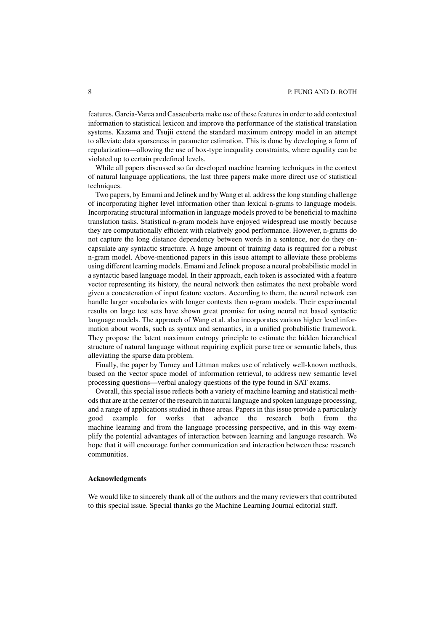### 8 P. FUNG AND D. ROTH

features. Garcia-Varea and Casacuberta make use of these features in order to add contextual information to statistical lexicon and improve the performance of the statistical translation systems. Kazama and Tsujii extend the standard maximum entropy model in an attempt to alleviate data sparseness in parameter estimation. This is done by developing a form of regularization—allowing the use of box-type inequality constraints, where equality can be violated up to certain predefined levels.

While all papers discussed so far developed machine learning techniques in the context of natural language applications, the last three papers make more direct use of statistical techniques.

Two papers, by Emami and Jelinek and by Wang et al. address the long standing challenge of incorporating higher level information other than lexical n-grams to language models. Incorporating structural information in language models proved to be beneficial to machine translation tasks. Statistical n-gram models have enjoyed widespread use mostly because they are computationally efficient with relatively good performance. However, n-grams do not capture the long distance dependency between words in a sentence, nor do they encapsulate any syntactic structure. A huge amount of training data is required for a robust n-gram model. Above-mentioned papers in this issue attempt to alleviate these problems using different learning models. Emami and Jelinek propose a neural probabilistic model in a syntactic based language model. In their approach, each token is associated with a feature vector representing its history, the neural network then estimates the next probable word given a concatenation of input feature vectors. According to them, the neural network can handle larger vocabularies with longer contexts then n-gram models. Their experimental results on large test sets have shown great promise for using neural net based syntactic language models. The approach of Wang et al. also incorporates various higher level information about words, such as syntax and semantics, in a unified probabilistic framework. They propose the latent maximum entropy principle to estimate the hidden hierarchical structure of natural language without requiring explicit parse tree or semantic labels, thus alleviating the sparse data problem.

Finally, the paper by Turney and Littman makes use of relatively well-known methods, based on the vector space model of information retrieval, to address new semantic level processing questions—verbal analogy questions of the type found in SAT exams.

Overall, this special issue reflects both a variety of machine learning and statistical methods that are at the center of the research in natural language and spoken language processing, and a range of applications studied in these areas. Papers in this issue provide a particularly good example for works that advance the research both from the machine learning and from the language processing perspective, and in this way exemplify the potential advantages of interaction between learning and language research. We hope that it will encourage further communication and interaction between these research communities.

## **Acknowledgments**

We would like to sincerely thank all of the authors and the many reviewers that contributed to this special issue. Special thanks go the Machine Learning Journal editorial staff.